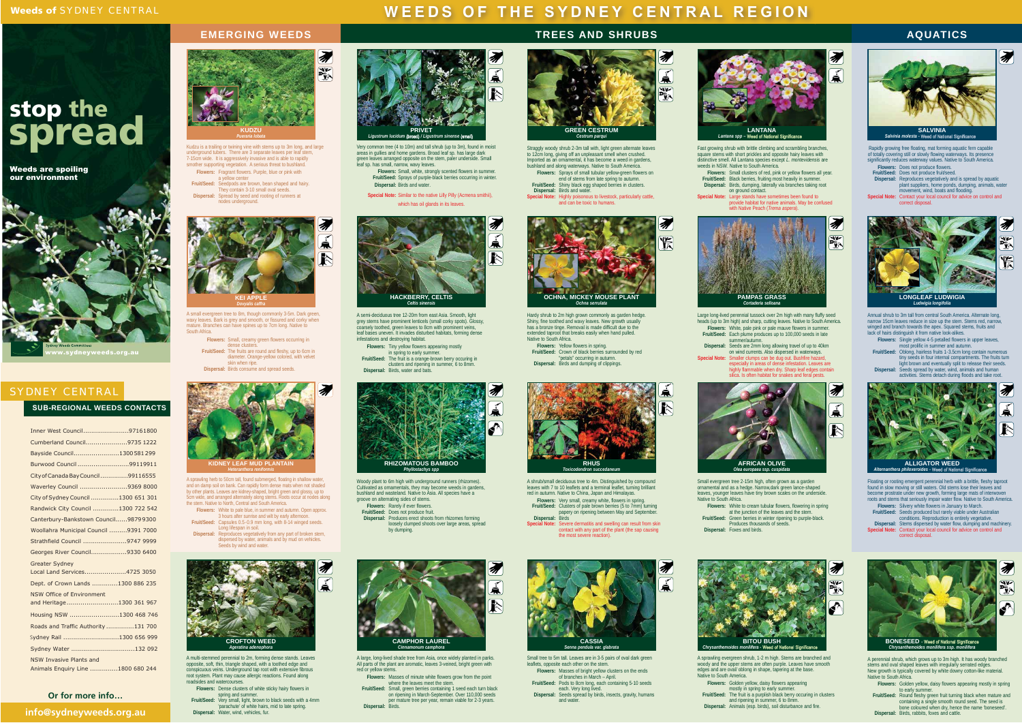# **spread stop the**

Weeds are spoiling<br>our environment



## SYDNEY CENTRAL

| <b>SUB-REGIONAL WEEDS CONTACTS</b> |  |  |
|------------------------------------|--|--|
|------------------------------------|--|--|

## **WEEDS OF THE SYDNEY CENTRAL REGION**

#### **TREES AND SHRUBS**

## **AQUATICS**



Straggly woody shrub 2-3m tall with, light green alternate leaves<br>to 12cm long, giving off an unpleasant smell when crushed.<br>Imported as an ornamental, it has become a weed in gardens,<br>bushland and along waterways. Native **Flowers:** Sprays of small tubular yellow-green flowers on end of stems from late spring to autumn.

**Fruit/Seed:** Shiny black egg shaped berries in clusters. **Dispersal:** Birds and water. **Special Note:** Highly poisonous to livestock, particularly cattle, and can be toxic to humans.



Rapidly growing free floating, mat forming aquatic fern capable<br>of totally covering still or slowly flowing waterways. Its presence<br>significantly reduces waterway values. Native to South America.



矛 烷 **OCHNA, MICKEY MOUSE PLANT**  *Ochna serrulata*

Fast growing shrub with brittle climbing and scrambling branches, square stems with short prickles and opposite hairy leaves with distinctive smell. All Lantana species except *L. montevidensis* are weeds in NSW. Native to South America. **Flowers:** Small clusters of red, pink or yellow flowers all year. **Fruit/Seed:** Black berries, fruiting most heavily in summer. **Dispersal:** Birds, dumping, laterally via branches taking root on ground contact.

**Flowers:** Yellow flowers in spring. **Fruit/Seed:** Crown of black berries surrounded by red petals" occurring in autumn."<br>Dispersal: Birds and dumping of clippings.

**Flowers:** White, pale pink or pale mauve flowers in summer. **Fruit/Seed:** Each plume produces up to 100,000 seeds in late summer/autumn.Dispersal: Seeds are 2mm long allowing travel of up to 40km<br>on wind currents. Also dispersed in waterways.<br>Special Note: Smaller clumps can be dug out. Bushfire hazard,<br>especially in areas of dense infestation. Leaves are

 **Special Note:** Large stands have sometimes been found to provide habitat for native animals. May be confused with Native Peach (*Trema aspera*).

矛

**Akk** 



A semi-deciduous tree 12-20m from east Asia. Smooth, light grey stems have prominent lenticels (small corky spots). Glossy, coarsely toothed, green leaves to 8cm with prominent veins, leaf bases uneven. It invades disturbed habitats, forming dense infestations and destroying habitat.

**Flowers:** Tiny yellow flowers appearing mostly in spring to early summer.  **Fruit/Seed:** The fruit is a orange-brown berry occuring in clusters and ripening in summer, 6 to 8mm.

**Dispersal:** Birds, water and bats.

Hardy shrub to 2m high grown commonly as garden hedge. Shiny, fine toothed and wavy leaves. New growth usually has a bronze tinge. Removal is made difficult due to the extended taproot that breaks easily when hand pulled. Native to South Africa.



Large long-lived perennial tussock over 2m high with many fluffy seed heads (up to 3m high) and sharp, cutting leaves. Native to South America.

highly flammable when dry. Sharp leaf edges contain silica. Is often habitat for snakes and feral pests.



Small tree to 5m tall. Leaves are in 3-5 pairs of oval dark green leaflets, opposite each other on the stem.



A shrub/small deciduous tree to 4m. Distinguished by compound leaves with 7 to 10 leaflets and a terminal leaflet, turning brilliant red in autumn. Native to China, Japan and Himalayas.

loosely clumped shoots over large areas, spread by dumping.

**Flowers:** Very small, creamy white, flowers in spring. **Fruit/Seed:** Clusters of pale brown berries (5 to 7mm) turning papery on ripening between May and September. **Dispersal:** Birds

most prolific in summer and autumn.  **Fruit/Seed:** Oblong, hairless fruits 1-3.5cm long contain numerous tiny seeds in four internal compartments. The fruits turn<br>light brown and eventually split to release their seeds.<br>Dispersal: Seeds spread by water, wind, animals and human<br>activities. Stems detach during floods and take r



**ALLIGATOR WEED**<br>*Alternanthera philoxeroides -* Weed of National Significance

**Special Note:** Severe dermatitis and swelling can result from skin contact with any part of the plant (the sap causing the most severe reaction).



*uropaea ssp. cust* 

Small evergreen tree 2-15m high, often grown as a garden

ornamental and as a hedge. Narrow,dark green lance-shaped leaves, younger leaves have tiny brown scales on the underside. Native to South Africa.

**Flowers:** White to cream tubular flowers, flowering in spring

at the junction of the leaves and the stem.  **Fruit/Seed:** Green berries in winter ripening to purple-black. Produces thousands of seeds.**Dispersal:** Foxes and birds.



A large, long-lived shade tree from Asia, once widely planted in parks. All parts of the plant are aromatic, leaves 3-veined, bright green with red or yellow stems.

**Flowers:** Masses of minute white flowers grow from the point where the leaves meet the stem. **Fruit/Seed:** Small, green berries containing 1 seed each turn black

on ripening in March-September. Over 110,000 seeds per mature tree per year, remain viable for 2-3 years.

**Dispersal:** Birds.





Woody plant to 6m high with underground runners (rhizomes). Cultivated as ornamentals, they may become weeds in gardens bushland and wasteland. Native to Asia. All species have a groove on alternating sides of stems. **Flowers:** Rarely if ever flowers.  **Fruit/Seed:** Does not produce fruit. **Dispersal:** Produces erect shoots from rhizomes forming

A multi-stemmed perennial to 2m, forming dense stands. Leaves opposite, soft, thin, triangle shaped, with a toothed edge and conspicuous veins. Underground tap root with extensive fibrous root system. Plant may cause allergic reactions. Found along roadsides and watercourses.

**Flowers:** Dense clusters of white sticky hairy flowers in

spring and summer. **Fruit/Seed:** Very small, light, brown to black seeds with a 4mm 'parachute' of white hairs, mid to late spring. **Dispersal:** Water, wind, vehicles, fur.

Kudzu is a trailing or twining vine with stems up to 3m long, and large underground tubers. There are 3 separate leaves per leaf stem, 7-15cm wide. It is aggressively invasive and is able to rapidly smother supporting vegetation. A serious threat to bushland.



**Flowers:** Small, creamy green flowers occurring in dense clusters. **Fruit/Seed:** The fruits are round and fleshy, up to 6cm in diameter. Orange-yellow colored, with velvet skin when rin

- **Flowers:** Masses of bright yellow clusters on the ends of branches in March April. **Fruit/Seed:** Pods to 8cm long, each containing 5-10 seeds each. Very long lived.
- **Dispersal:** Seeds spread by birds, insects, gravity, humans and water.





A sprawling evergreen shrub, 1-2 m high. Stems are branched and woody and the upper stems are often purple. Leaves have smooth edges and are oval/ oblong in shape, tapering at the base.

Native to South America.

Very common tree (4 to 10m) and tall shrub (up to 3m), found in moist areas in gullies and home gardens. Broad leaf sp. has large dark green leaves arranged opposite on the stem, paler underside. Small leaf sp. has small, narrow, wavy leaves. **Flowers: Small, white, strongly scented flowers in summer.** 

> **Flowers:** Golden yellow, daisy flowers appearing mostly in spring to early summer.  **Fruit/Seed:** The fruit is a purplish black berry occuring in clusters and ripening in summer, 6 to 8mm. **Dispersal:** Animals (esp. birds), soil disturbance and fire.

**Special Note:** Similar to the native Lilly Pilly (Acmena smithii), which has oil glands in its leaves.



Annual shrub to 3m tall from central South America. Alternate long, narrow 15cm leaves reduce in size up the stem. Stems red, narrow, winged and branch towards the apex. Squared stems, fruits and lack of hairs distinguish it from native look-alikes. **Flowers:** Single yellow 4-5 petalled flowers in upper leaves,

**Flowers:** Does not produce flowers. **Fruit/Seed:** Does not produce fruit/seed. **Dispersal:** Reproduces vegetatively and is spread by aquatic plant suppliers, home ponds, dumping, animals, water movement, wind, boats and flooding. **Special Note:** Contact your local council for advice on control and correct disposal.



A perennial shrub, which grows up to 3m high. It has woody branched stems and oval shaped leaves with irregularly serrated edges. New growth is typically covered by white downy cotton-like material. Native to South Africa.

**Flowers:** Golden yellow, daisy flowers appearing mostly in spring

to early summer.<br>Fruit/Seed: Round fleshy green fruit turning black when mature and<br>containing a single smooth round seed. The seed is<br>bone coloured when dry, hence the name 'boneseed'.<br>Dispersal: Birds, rabbits, foxes and

Floating or rooting emergent perennial herb with a brittle, fleshy taproot found in slow moving or still waters. Old stems lose their leaves and become prostrate under new growth, forming large mats of interwoven roots and stems that seriously impair water flow. Native to South America. **Flowers:** Silvery white flowers in January to March.

**Fruit/Seed:** Seeds produced but rarely viable under Australian conditions. Reproduction is entirely vegetative. **Dispersal:** Stems dispersed by water flow, dumping and machinery. **Special Note:** Contact your local council for advice on control and correct disposal.

#### **Or for more info…**

**info@sydneyweeds.org.au**





**Flowers:** Fragrant flowers. Purple, blue or pink with

a yellow center **Fruit/Seed:** Seedpods are brown, bean shaped and hairy. They contain 3-10 small oval seeds. **Dispersal:** Spread by seed and rooting of runners at nodes underground.



A small evergreen tree to 8m, though commonly 3-5m. Dark green, waxy leaves. Bark is grey and smooth, or fissured and corky when mature. Branches can have spines up to 7cm long. Native to South Africa.

| Inner West Council97161800            |  |
|---------------------------------------|--|
| Cumberland Council9735 1222           |  |
| Bayside Council1300 581 299           |  |
| Burwood Council 99119911              |  |
| City of Canada Bay Council99116555    |  |
| Waverley Council 9369 8000            |  |
| City of Sydney Council 1300 651 301   |  |
| Randwick City Council 1300 722 542    |  |
| Canterbury-Bankstown Council98799300  |  |
| Woollahra Municipal Council 9391 7000 |  |
| Strathfield Council 9747 9999         |  |
| Georges River Council9330 6400        |  |
| <b>Greater Sydney</b>                 |  |
| Local Land Services4725 3050          |  |
| Dept. of Crown Lands 1300 886 235     |  |
| <b>NSW Office of Environment</b>      |  |
| and Heritage1300 361 967              |  |
| Housing NSW 1300 468 746              |  |
| Roads and Traffic Authority 131 700   |  |
| Sydney Rail 1300 656 999              |  |
| Sydney Water 132 092                  |  |
| <b>NSW Invasive Plants and</b>        |  |
| Animals Enquiry Line 1800 680 244     |  |

**Dispersal:** Birds consume and spread seeds.



A sprawling herb to 50cm tall, found submerged, floating in shallow water, and on damp soil on bank. Can rapidly form dense mats when not shaded by other plants. Leaves are kidney-shaped, bright green and glossy, up to 5cm wide, and arranged alternately along stems. Roots occur at nodes along the stem. Native to North, Central and South America.

**Flowers:** White to pale blue, in summer and autumn. Open approx. 3 hours after sunrise and wilt by early afternoon. **Fruit/Seed:** Capsules 0.5-0.9 mm long, with 8-14 winged seeds.

Long lifespan in soil.<br>Dispersal: Reproduces vegetatively from any part of broken stem,<br>dispersed by water, animals and by mud on vehicles. Seeds by wind and water

 **Fruit/Seed:** Sprays of purple-black berries occurring in winter.  **Dispersal:** Birds and water.